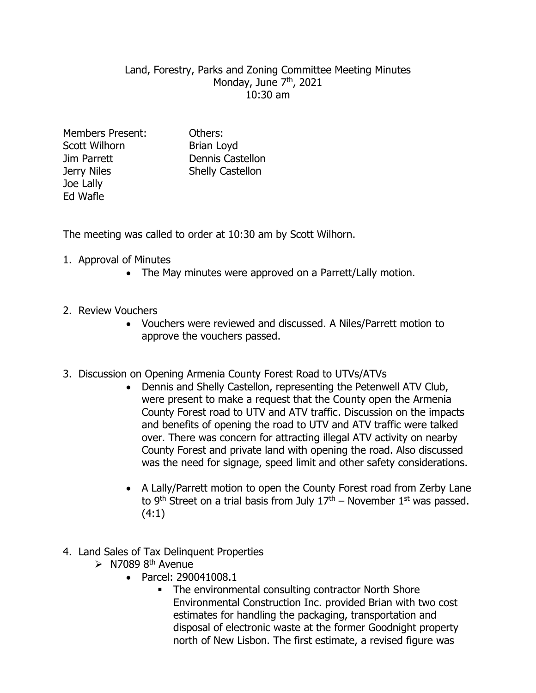## Land, Forestry, Parks and Zoning Committee Meeting Minutes Monday, June 7<sup>th</sup>, 2021 10:30 am

Members Present: Others: Scott Wilhorn Brian Lovd Joe Lally Ed Wafle

Jim Parrett Dennis Castellon Jerry Niles Shelly Castellon

The meeting was called to order at 10:30 am by Scott Wilhorn.

- 1. Approval of Minutes
	- The May minutes were approved on a Parrett/Lally motion.
- 2. Review Vouchers
	- Vouchers were reviewed and discussed. A Niles/Parrett motion to approve the vouchers passed.
- 3. Discussion on Opening Armenia County Forest Road to UTVs/ATVs
	- Dennis and Shelly Castellon, representing the Petenwell ATV Club, were present to make a request that the County open the Armenia County Forest road to UTV and ATV traffic. Discussion on the impacts and benefits of opening the road to UTV and ATV traffic were talked over. There was concern for attracting illegal ATV activity on nearby County Forest and private land with opening the road. Also discussed was the need for signage, speed limit and other safety considerations.
	- A Lally/Parrett motion to open the County Forest road from Zerby Lane to 9<sup>th</sup> Street on a trial basis from July  $17<sup>th</sup>$  – November  $1<sup>st</sup>$  was passed. (4:1)
- 4. Land Sales of Tax Delinquent Properties
	- $\triangleright$  N7089 8<sup>th</sup> Avenue
		- Parcel: 290041008.1
			- The environmental consulting contractor North Shore Environmental Construction Inc. provided Brian with two cost estimates for handling the packaging, transportation and disposal of electronic waste at the former Goodnight property north of New Lisbon. The first estimate, a revised figure was